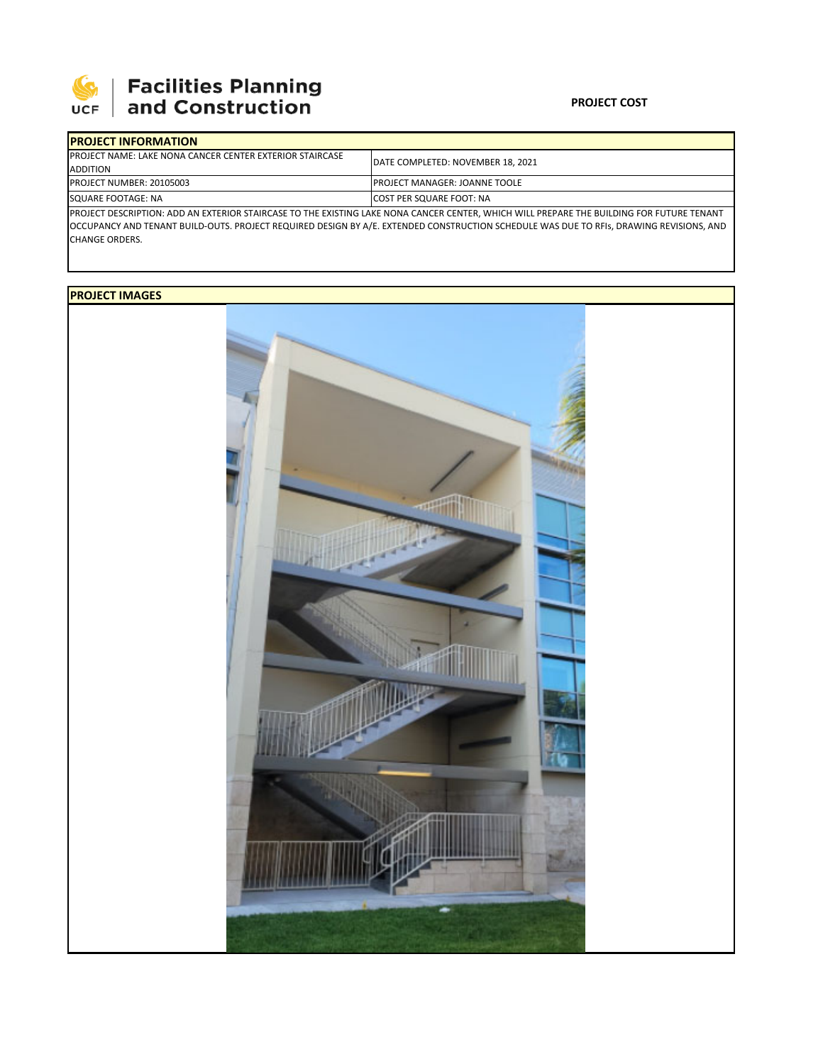

## **PROJECT COST**

| <b>IPROJECT INFORMATION</b>                                                                                                                |                                      |  |  |  |
|--------------------------------------------------------------------------------------------------------------------------------------------|--------------------------------------|--|--|--|
| <b>IPROJECT NAME: LAKE NONA CANCER CENTER EXTERIOR STAIRCASE</b>                                                                           | DATE COMPLETED: NOVEMBER 18, 2021    |  |  |  |
| ADDITION                                                                                                                                   |                                      |  |  |  |
| PROJECT NUMBER: 20105003                                                                                                                   | <b>PROJECT MANAGER: JOANNE TOOLE</b> |  |  |  |
| SQUARE FOOTAGE: NA                                                                                                                         | <b>ICOST PER SQUARE FOOT: NA</b>     |  |  |  |
| IPROJECT DESCRIPTION: ADD AN EXTERIOR STAIRCASE TO THE EXISTING LAKE NONA CANCER CENTER. WHICH WILL PREPARE THE BUILDING FOR FUTURE TENANT |                                      |  |  |  |

OCCUPANCY AND TENANT BUILD‐OUTS. PROJECT REQUIRED DESIGN BY A/E. EXTENDED CONSTRUCTION SCHEDULE WAS DUE TO RFIs, DRAWING REVISIONS, AND CHANGE ORDERS.

## **PROJECT IMAGES**